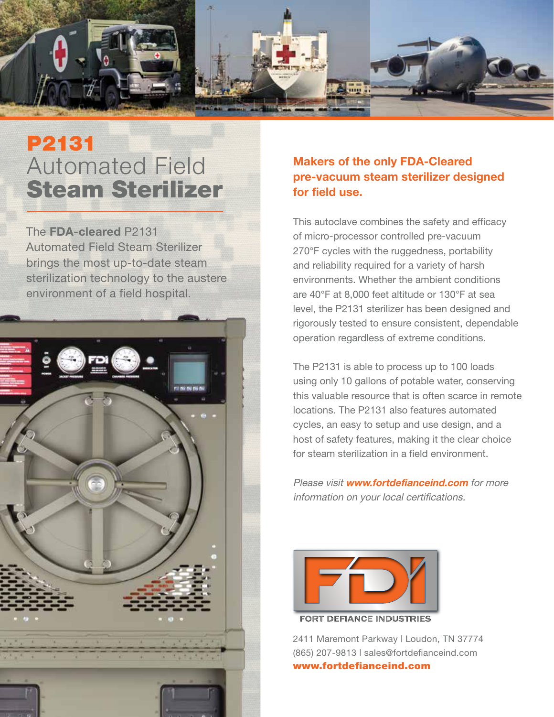

# P2131 Automated Field Steam Sterilizer

The **FDA-cleared** P2131 Automated Field Steam Sterilizer brings the most up-to-date steam sterilization technology to the austere environment of a field hospital.



#### **Makers of the only FDA-Cleared pre-vacuum steam sterilizer designed for field use.**

This autoclave combines the safety and efficacy of micro-processor controlled pre-vacuum 270°F cycles with the ruggedness, portability and reliability required for a variety of harsh environments. Whether the ambient conditions are 40°F at 8,000 feet altitude or 130°F at sea level, the P2131 sterilizer has been designed and rigorously tested to ensure consistent, dependable operation regardless of extreme conditions.

The P2131 is able to process up to 100 loads using only 10 gallons of potable water, conserving this valuable resource that is often scarce in remote locations. The P2131 also features automated cycles, an easy to setup and use design, and a host of safety features, making it the clear choice for steam sterilization in a field environment.

Please visit **www.fortdefianceind.com** for more information on your local certifications.



**FORT DEFIANCE INDUSTRIES** 

2411 Maremont Parkway | Loudon, TN 37774 (865) 207-9813 | sales@fortdefianceind.com www.fortdefianceind.com